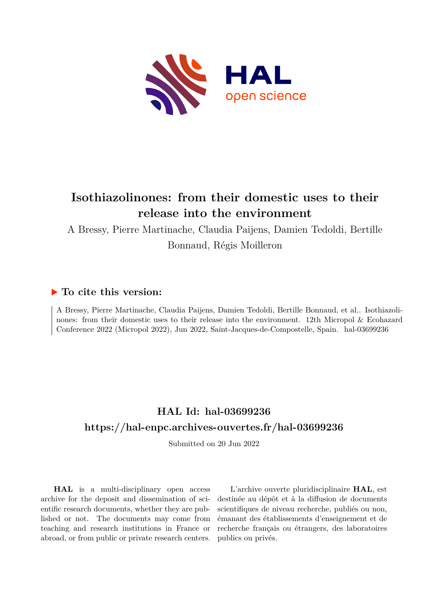

# **Isothiazolinones: from their domestic uses to their release into the environment**

A Bressy, Pierre Martinache, Claudia Paijens, Damien Tedoldi, Bertille Bonnaud, Régis Moilleron

## **To cite this version:**

A Bressy, Pierre Martinache, Claudia Paijens, Damien Tedoldi, Bertille Bonnaud, et al.. Isothiazolinones: from their domestic uses to their release into the environment. 12th Micropol & Ecohazard Conference 2022 (Micropol 2022), Jun 2022, Saint-Jacques-de-Compostelle, Spain. hal-03699236

## **HAL Id: hal-03699236 <https://hal-enpc.archives-ouvertes.fr/hal-03699236>**

Submitted on 20 Jun 2022

**HAL** is a multi-disciplinary open access archive for the deposit and dissemination of scientific research documents, whether they are published or not. The documents may come from teaching and research institutions in France or abroad, or from public or private research centers.

L'archive ouverte pluridisciplinaire **HAL**, est destinée au dépôt et à la diffusion de documents scientifiques de niveau recherche, publiés ou non, émanant des établissements d'enseignement et de recherche français ou étrangers, des laboratoires publics ou privés.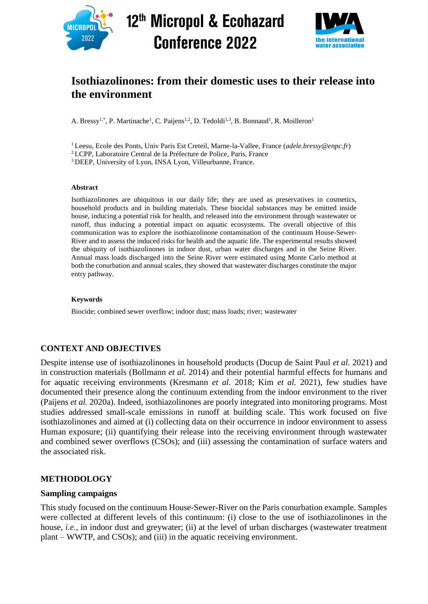

12<sup>th</sup> Micropol & Ecohazard **Conference 2022** 



## **Isothiazolinones: from their domestic uses to their release into the environment**

A. Bressy<sup>1,\*</sup>, P. Martinache<sup>1</sup>, C. Paijens<sup>1,2</sup>, D. Tedoldi<sup>1,3</sup>, B. Bonnaud<sup>1</sup>, R. Moilleron<sup>1</sup>

<sup>1</sup>Leesu, Ecole des Ponts, Univ Paris Est Creteil, Marne-la-Vallee, France (*adele.bressy@enpc.fr*)

<sup>2</sup>LCPP, Laboratoire Central de la Préfecture de Police, Paris, France

<sup>3</sup>DEEP, University of Lyon, INSA Lyon, Villeurbanne, France.

#### **Abstract**

Isothiazolinones are ubiquitous in our daily life; they are used as preservatives in cosmetics, household products and in building materials. These biocidal substances may be emitted inside house, inducing a potential risk for health, and released into the environment through wastewater or runoff, thus inducing a potential impact on aquatic ecosystems. The overall objective of this communication was to explore the isothiazolinone contamination of the continuum House-Sewer-River and to assess the induced risks for health and the aquatic life. The experimental results showed the ubiquity of isothiazolinones in indoor dust, urban water discharges and in the Seine River. Annual mass loads discharged into the Seine River were estimated using Monte Carlo method at both the conurbation and annual scales, they showed that wastewater discharges constitute the major entry pathway.

#### **Keywords**

Biocide; combined sewer overflow; indoor dust; mass loads; river; wastewater

#### **CONTEXT AND OBJECTIVES**

Despite intense use of isothiazolinones in household products (Ducup de Saint Paul *et al.* 2021) and in construction materials (Bollmann *et al.* 2014) and their potential harmful effects for humans and for aquatic receiving environments (Kresmann *et al.* 2018; Kim *et al.* 2021), few studies have documented their presence along the continuum extending from the indoor environment to the river (Paijens *et al.* 2020a). Indeed, isothiazolinones are poorly integrated into monitoring programs. Most studies addressed small-scale emissions in runoff at building scale. This work focused on five isothiazolinones and aimed at (i) collecting data on their occurrence in indoor environment to assess Human exposure; (ii) quantifying their release into the receiving environment through wastewater and combined sewer overflows (CSOs); and (iii) assessing the contamination of surface waters and the associated risk.

#### **METHODOLOGY**

#### **Sampling campaigns**

This study focused on the continuum House-Sewer-River on the Paris conurbation example. Samples were collected at different levels of this continuum: (i) close to the use of isothiazolinones in the house, *i.e.*, in indoor dust and greywater; (ii) at the level of urban discharges (wastewater treatment plant – WWTP, and CSOs); and (iii) in the aquatic receiving environment.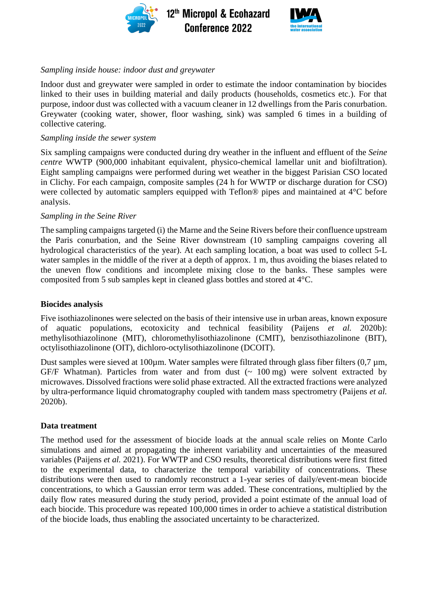



### *Sampling inside house: indoor dust and greywater*

Indoor dust and greywater were sampled in order to estimate the indoor contamination by biocides linked to their uses in building material and daily products (households, cosmetics etc.). For that purpose, indoor dust was collected with a vacuum cleaner in 12 dwellings from the Paris conurbation. Greywater (cooking water, shower, floor washing, sink) was sampled 6 times in a building of collective catering.

#### *Sampling inside the sewer system*

Six sampling campaigns were conducted during dry weather in the influent and effluent of the *Seine centre* WWTP (900,000 inhabitant equivalent, physico-chemical lamellar unit and biofiltration). Eight sampling campaigns were performed during wet weather in the biggest Parisian CSO located in Clichy. For each campaign, composite samples (24 h for WWTP or discharge duration for CSO) were collected by automatic samplers equipped with Teflon® pipes and maintained at 4°C before analysis.

#### *Sampling in the Seine River*

The sampling campaigns targeted (i) the Marne and the Seine Rivers before their confluence upstream the Paris conurbation, and the Seine River downstream (10 sampling campaigns covering all hydrological characteristics of the year). At each sampling location, a boat was used to collect 5-L water samples in the middle of the river at a depth of approx. 1 m, thus avoiding the biases related to the uneven flow conditions and incomplete mixing close to the banks. These samples were composited from 5 sub samples kept in cleaned glass bottles and stored at 4°C.

#### **Biocides analysis**

Five isothiazolinones were selected on the basis of their intensive use in urban areas, known exposure of aquatic populations, ecotoxicity and technical feasibility (Paijens *et al.* 2020b): methylisothiazolinone (MIT), chloromethylisothiazolinone (CMIT), benzisothiazolinone (BIT), octylisothiazolinone (OIT), dichloro-octylisothiazolinone (DCOIT).

Dust samples were sieved at 100 $\mu$ m. Water samples were filtrated through glass fiber filters (0,7  $\mu$ m, GF/F Whatman). Particles from water and from dust  $($   $\sim$  100 mg) were solvent extracted by microwaves. Dissolved fractions were solid phase extracted. All the extracted fractions were analyzed by ultra-performance liquid chromatography coupled with tandem mass spectrometry (Paijens *et al.* 2020b).

#### **Data treatment**

The method used for the assessment of biocide loads at the annual scale relies on Monte Carlo simulations and aimed at propagating the inherent variability and uncertainties of the measured variables (Paijens *et al.* 2021). For WWTP and CSO results, theoretical distributions were first fitted to the experimental data, to characterize the temporal variability of concentrations. These distributions were then used to randomly reconstruct a 1-year series of daily/event-mean biocide concentrations, to which a Gaussian error term was added. These concentrations, multiplied by the daily flow rates measured during the study period, provided a point estimate of the annual load of each biocide. This procedure was repeated 100,000 times in order to achieve a statistical distribution of the biocide loads, thus enabling the associated uncertainty to be characterized.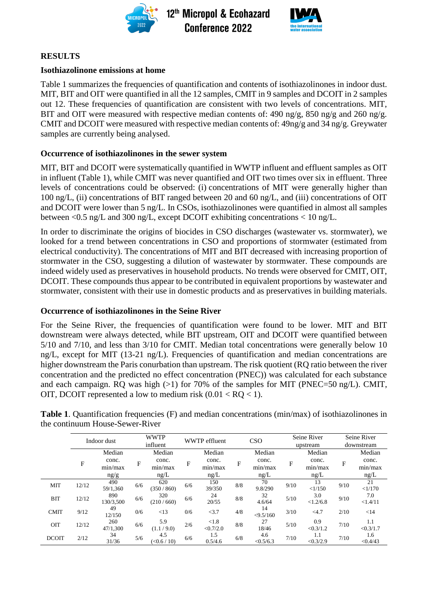

12<sup>th</sup> Micropol & Ecohazard **Conference 2022** 



#### **RESULTS**

#### **Isothiazolinone emissions at home**

Table 1 summarizes the frequencies of quantification and contents of isothiazolinones in indoor dust. MIT, BIT and OIT were quantified in all the 12 samples, CMIT in 9 samples and DCOIT in 2 samples out 12. These frequencies of quantification are consistent with two levels of concentrations. MIT, BIT and OIT were measured with respective median contents of: 490 ng/g, 850 ng/g and 260 ng/g. CMIT and DCOIT were measured with respective median contents of: 49ng/g and 34 ng/g. Greywater samples are currently being analysed.

#### **Occurrence of isothiazolinones in the sewer system**

MIT, BIT and DCOIT were systematically quantified in WWTP influent and effluent samples as OIT in influent (Table 1), while CMIT was never quantified and OIT two times over six in effluent. Three levels of concentrations could be observed: (i) concentrations of MIT were generally higher than 100 ng/L, (ii) concentrations of BIT ranged between 20 and 60 ng/L, and (iii) concentrations of OIT and DCOIT were lower than 5 ng/L. In CSOs, isothiazolinones were quantified in almost all samples between  $\langle 0.5 \text{ ng/L and } 300 \text{ ng/L}$ , except DCOIT exhibiting concentrations  $\langle 10 \text{ ng/L} \rangle$ .

In order to discriminate the origins of biocides in CSO discharges (wastewater vs. stormwater), we looked for a trend between concentrations in CSO and proportions of stormwater (estimated from electrical conductivity). The concentrations of MIT and BIT decreased with increasing proportion of stormwater in the CSO, suggesting a dilution of wastewater by stormwater. These compounds are indeed widely used as preservatives in household products. No trends were observed for CMIT, OIT, DCOIT. These compounds thus appear to be contributed in equivalent proportions by wastewater and stormwater, consistent with their use in domestic products and as preservatives in building materials.

#### **Occurrence of isothiazolinones in the Seine River**

For the Seine River, the frequencies of quantification were found to be lower. MIT and BIT downstream were always detected, while BIT upstream, OIT and DCOIT were quantified between 5/10 and 7/10, and less than 3/10 for CMIT. Median total concentrations were generally below 10 ng/L, except for MIT (13-21 ng/L). Frequencies of quantification and median concentrations are higher downstream the Paris conurbation than upstream. The risk quotient (RQ ratio between the river concentration and the predicted no effect concentration (PNEC)) was calculated for each substance and each campaign. RQ was high  $(>1)$  for 70% of the samples for MIT (PNEC=50 ng/L). CMIT, OIT, DCOIT represented a low to medium risk  $(0.01 < RQ < 1)$ .

|              | Indoor dust |                          |     | <b>WWTP</b><br>influent  |     | <b>WWTP</b> effluent     |     | <b>CSO</b>               |      | Seine River<br>upstream  |      | Seine River<br>downstream |  |
|--------------|-------------|--------------------------|-----|--------------------------|-----|--------------------------|-----|--------------------------|------|--------------------------|------|---------------------------|--|
|              |             | Median                   |     | Median                   |     | Median                   |     | Median                   |      | Median                   |      | Median                    |  |
|              | F           | conc.<br>min/max<br>ng/g | F   | conc.<br>min/max<br>ng/L | F   | conc.<br>min/max<br>ng/L | F   | conc.<br>min/max<br>ng/L | F    | conc.<br>min/max<br>ng/L | F    | conc.<br>min/max<br>ng/L  |  |
|              |             | 490                      |     | 620                      |     | 150                      |     | 70                       |      | 13                       |      | 21                        |  |
| <b>MIT</b>   | 12/12       | 59/1,360                 | 6/6 | (350/860)                | 6/6 | 39/350                   | 8/8 | 9.8/290                  | 9/10 | <1/150                   | 9/10 | <1/170                    |  |
| <b>BIT</b>   | 12/12       | 890<br>130/3,500         | 6/6 | 320<br>(210/660)         | 6/6 | 24<br>20/55              | 8/8 | 32<br>4.6/64             | 5/10 | 3.0<br><1.2/6.8          | 9/10 | 7.0<br><1.4/11            |  |
| <b>CMIT</b>  | 9/12        | 49<br>12/150             | 0/6 | <13                      | 0/6 | <3.7                     | 4/8 | 14<br>< 9.5/160          | 3/10 | $<$ 4.7                  | 2/10 | <14                       |  |
| OIT          | 12/12       | 260<br>47/1,300          | 6/6 | 5.9<br>(1.1/9.0)         | 2/6 | < 1.8<br>< 0.7/2.0       | 8/8 | 27<br>18/46              | 5/10 | 0.9<br>< 0.3 / 1.2       | 7/10 | 1.1<br>< 0.3/1.7          |  |
| <b>DCOIT</b> | 2/12        | 34<br>31/36              | 5/6 | 4.5<br>(<0.6/10)         | 6/6 | 1.5<br>0.5/4.6           | 6/8 | 4.6<br>< 0.5/6.3         | 7/10 | 1.1<br>< 0.3 / 2.9       | 7/10 | 1.6<br>< 0.4/43           |  |

**Table 1**. Quantification frequencies (F) and median concentrations (min/max) of isothiazolinones in the continuum House-Sewer-River